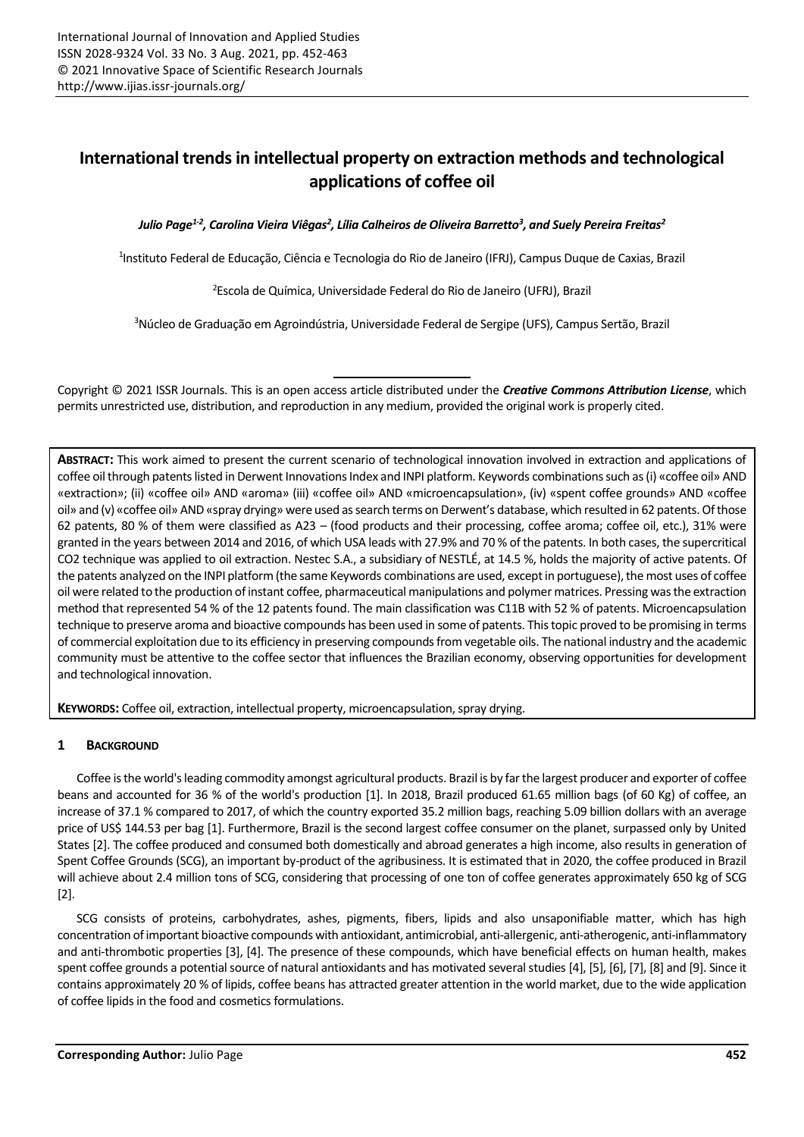# **International trends in intellectual property on extraction methods and technological applications of coffee oil**

*Julio Page1-2 , Carolina Vieira Viêgas<sup>2</sup> , Lília Calheiros de Oliveira Barretto<sup>3</sup> , and Suely Pereira Freitas<sup>2</sup>*

<sup>1</sup>Instituto Federal de Educação, Ciência e Tecnologia do Rio de Janeiro (IFRJ), Campus Duque de Caxias, Brazil

<sup>2</sup>Escola de Química, Universidade Federal do Rio de Janeiro (UFRJ), Brazil

<sup>3</sup>Núcleo de Graduação em Agroindústria, Universidade Federal de Sergipe (UFS), Campus Sertão, Brazil

Copyright © 2021 ISSR Journals. This is an open access article distributed under the *Creative Commons Attribution License*, which permits unrestricted use, distribution, and reproduction in any medium, provided the original work is properly cited.

**ABSTRACT:** This work aimed to present the current scenario of technological innovation involved in extraction and applications of coffee oil through patents listed in Derwent Innovations Index and INPI platform. Keywords combinations such as (i) «coffee oil» AND «extraction»; (ii) «coffee oil» AND «aroma» (iii) «coffee oil» AND «microencapsulation», (iv) «spent coffee grounds» AND «coffee oil» and (v) «coffee oil» AND «spray drying» were used as search terms on Derwent's database, which resulted in 62 patents. Of those 62 patents, 80 % of them were classified as A23 – (food products and their processing, coffee aroma; coffee oil, etc.), 31% were granted in the years between 2014 and 2016, of which USA leads with 27.9% and 70 % of the patents. In both cases, the supercritical CO2 technique was applied to oil extraction. Nestec S.A., a subsidiary of NESTLÉ, at 14.5 %, holds the majority of active patents. Of the patents analyzed on the INPI platform (the same Keywords combinations are used, except in portuguese), the most uses of coffee oil were related to the production of instant coffee, pharmaceutical manipulations and polymer matrices. Pressing was the extraction method that represented 54 % of the 12 patents found. The main classification was C11B with 52 % of patents. Microencapsulation technique to preserve aroma and bioactive compounds has been used in some of patents. This topic proved to be promising in terms of commercial exploitation due to its efficiency in preserving compounds from vegetable oils. The national industry and the academic community must be attentive to the coffee sector that influences the Brazilian economy, observing opportunities for development and technological innovation.

**KEYWORDS:** Coffee oil, extraction, intellectual property, microencapsulation, spray drying.

## **1 BACKGROUND**

Coffee is the world's leading commodity amongst agricultural products. Brazil is by far the largest producer and exporter of coffee beans and accounted for 36 % of the world's production [1]. In 2018, Brazil produced 61.65 million bags (of 60 Kg) of coffee, an increase of 37.1 % compared to 2017, of which the country exported 35.2 million bags, reaching 5.09 billion dollars with an average price of US\$ 144.53 per bag [1]. Furthermore, Brazil is the second largest coffee consumer on the planet, surpassed only by United States [2]. The coffee produced and consumed both domestically and abroad generates a high income, also results in generation of Spent Coffee Grounds (SCG), an important by-product of the agribusiness. It is estimated that in 2020, the coffee produced in Brazil will achieve about 2.4 million tons of SCG, considering that processing of one ton of coffee generates approximately 650 kg of SCG [2].

SCG consists of proteins, carbohydrates, ashes, pigments, fibers, lipids and also unsaponifiable matter, which has high concentration of important bioactive compounds with antioxidant, antimicrobial, anti-allergenic, anti-atherogenic, anti-inflammatory and anti-thrombotic properties [3], [4]. The presence of these compounds, which have beneficial effects on human health, makes spent coffee grounds a potential source of natural antioxidants and has motivated several studies [4], [5], [6], [7], [8] and [9]. Since it contains approximately 20 % of lipids, coffee beans has attracted greater attention in the world market, due to the wide application of coffee lipids in the food and cosmetics formulations.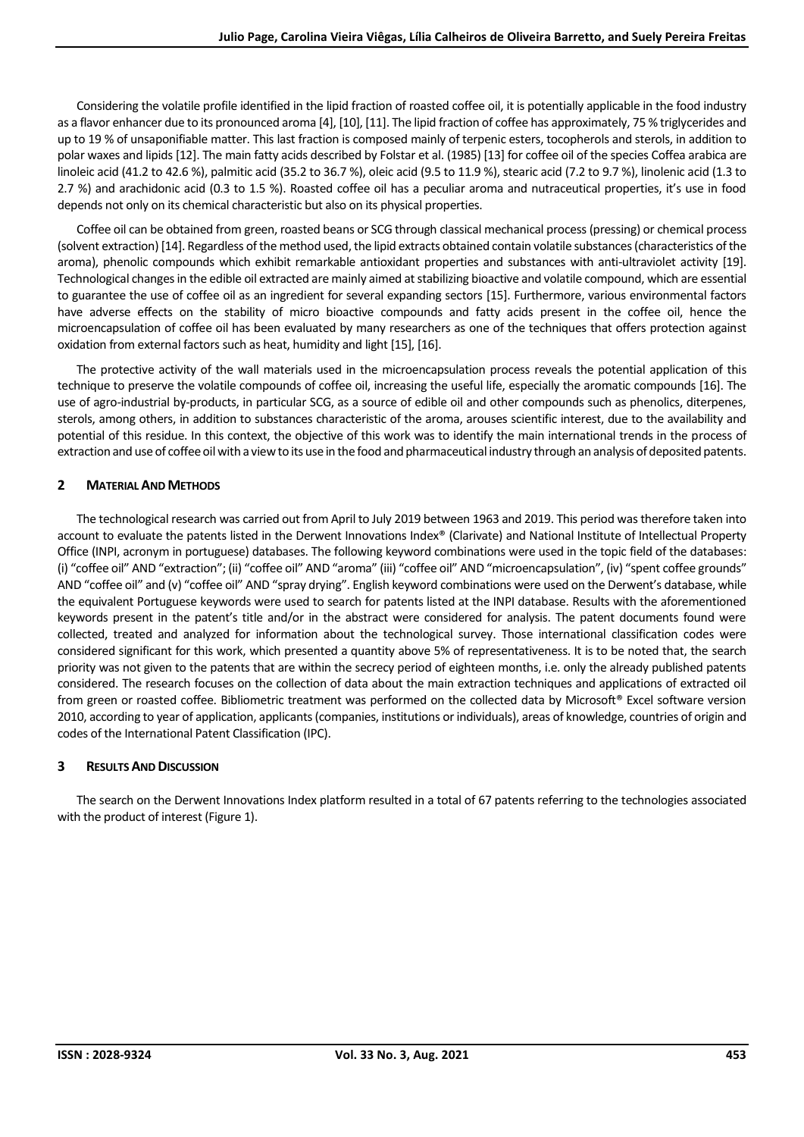Considering the volatile profile identified in the lipid fraction of roasted coffee oil, it is potentially applicable in the food industry as a flavor enhancer due to its pronounced aroma [4], [10], [11]. The lipid fraction of coffee has approximately, 75 % triglycerides and up to 19 % of unsaponifiable matter. This last fraction is composed mainly of terpenic esters, tocopherols and sterols, in addition to polar waxes and lipids [12]. The main fatty acids described by Folstar et al. (1985) [13] for coffee oil of the species Coffea arabica are linoleic acid (41.2 to 42.6 %), palmitic acid (35.2 to 36.7 %), oleic acid (9.5 to 11.9 %), stearic acid (7.2 to 9.7 %), linolenic acid (1.3 to 2.7 %) and arachidonic acid (0.3 to 1.5 %). Roasted coffee oil has a peculiar aroma and nutraceutical properties, it's use in food depends not only on its chemical characteristic but also on its physical properties.

Coffee oil can be obtained from green, roasted beans or SCG through classical mechanical process(pressing) or chemical process (solvent extraction) [14]. Regardless of the method used, the lipid extracts obtained contain volatile substances(characteristics of the aroma), phenolic compounds which exhibit remarkable antioxidant properties and substances with anti-ultraviolet activity [19]. Technological changes in the edible oil extracted are mainly aimed at stabilizing bioactive and volatile compound, which are essential to guarantee the use of coffee oil as an ingredient for several expanding sectors [15]. Furthermore, various environmental factors have adverse effects on the stability of micro bioactive compounds and fatty acids present in the coffee oil, hence the microencapsulation of coffee oil has been evaluated by many researchers as one of the techniques that offers protection against oxidation from external factors such as heat, humidity and light [15], [16].

The protective activity of the wall materials used in the microencapsulation process reveals the potential application of this technique to preserve the volatile compounds of coffee oil, increasing the useful life, especially the aromatic compounds [16]. The use of agro-industrial by-products, in particular SCG, as a source of edible oil and other compounds such as phenolics, diterpenes, sterols, among others, in addition to substances characteristic of the aroma, arouses scientific interest, due to the availability and potential of this residue. In this context, the objective of this work was to identify the main international trends in the process of extraction and use of coffee oil with a view to its use in the food and pharmaceutical industry through an analysis of deposited patents.

# **2 MATERIAL AND METHODS**

The technological research was carried out from April to July 2019 between 1963 and 2019. This period was therefore taken into account to evaluate the patents listed in the Derwent Innovations Index® (Clarivate) and National Institute of Intellectual Property Office (INPI, acronym in portuguese) databases. The following keyword combinations were used in the topic field of the databases: (i) "coffee oil" AND "extraction"; (ii) "coffee oil" AND "aroma" (iii) "coffee oil" AND "microencapsulation", (iv) "spent coffee grounds" AND "coffee oil" and (v) "coffee oil" AND "spray drying". English keyword combinations were used on the Derwent's database, while the equivalent Portuguese keywords were used to search for patents listed at the INPI database. Results with the aforementioned keywords present in the patent's title and/or in the abstract were considered for analysis. The patent documents found were collected, treated and analyzed for information about the technological survey. Those international classification codes were considered significant for this work, which presented a quantity above 5% of representativeness. It is to be noted that, the search priority was not given to the patents that are within the secrecy period of eighteen months, i.e. only the already published patents considered. The research focuses on the collection of data about the main extraction techniques and applications of extracted oil from green or roasted coffee. Bibliometric treatment was performed on the collected data by Microsoft® Excel software version 2010, according to year of application, applicants(companies, institutions or individuals), areas of knowledge, countries of origin and codes of the International Patent Classification (IPC).

## **3 RESULTS AND DISCUSSION**

The search on the Derwent Innovations Index platform resulted in a total of 67 patents referring to the technologies associated with the product of interest (Figure 1).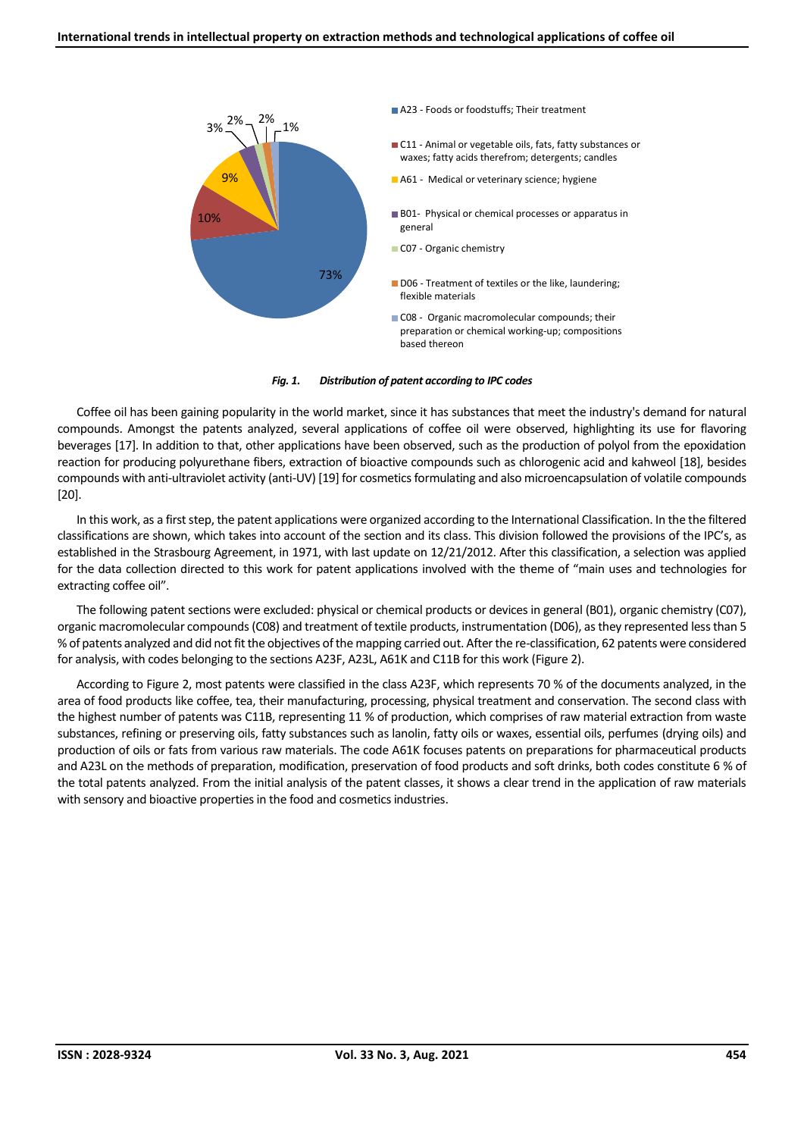

#### *Fig. 1. Distribution of patent according to IPC codes*

Coffee oil has been gaining popularity in the world market, since it has substances that meet the industry's demand for natural compounds. Amongst the patents analyzed, several applications of coffee oil were observed, highlighting its use for flavoring beverages [17]. In addition to that, other applications have been observed, such as the production of polyol from the epoxidation reaction for producing polyurethane fibers, extraction of bioactive compounds such as chlorogenic acid and kahweol [18], besides compounds with anti-ultraviolet activity (anti-UV) [19] for cosmetics formulating and also microencapsulation of volatile compounds [20].

In this work, as a first step, the patent applications were organized according to the International Classification. In the the filtered classifications are shown, which takes into account of the section and its class. This division followed the provisions of the IPC's, as established in the Strasbourg Agreement, in 1971, with last update on 12/21/2012. After this classification, a selection was applied for the data collection directed to this work for patent applications involved with the theme of "main uses and technologies for extracting coffee oil".

The following patent sections were excluded: physical or chemical products or devices in general (B01), organic chemistry (C07), organic macromolecular compounds(C08) and treatment of textile products, instrumentation (D06), as they represented less than 5 % of patents analyzed and did not fit the objectives of the mapping carried out. After the re-classification, 62 patents were considered for analysis, with codes belonging to the sections A23F, A23L, A61K and C11B for this work (Figure 2).

According to Figure 2, most patents were classified in the class A23F, which represents 70 % of the documents analyzed, in the area of food products like coffee, tea, their manufacturing, processing, physical treatment and conservation. The second class with the highest number of patents was C11B, representing 11 % of production, which comprises of raw material extraction from waste substances, refining or preserving oils, fatty substances such as lanolin, fatty oils or waxes, essential oils, perfumes (drying oils) and production of oils or fats from various raw materials. The code A61K focuses patents on preparations for pharmaceutical products and A23L on the methods of preparation, modification, preservation of food products and soft drinks, both codes constitute 6 % of the total patents analyzed. From the initial analysis of the patent classes, it shows a clear trend in the application of raw materials with sensory and bioactive properties in the food and cosmetics industries.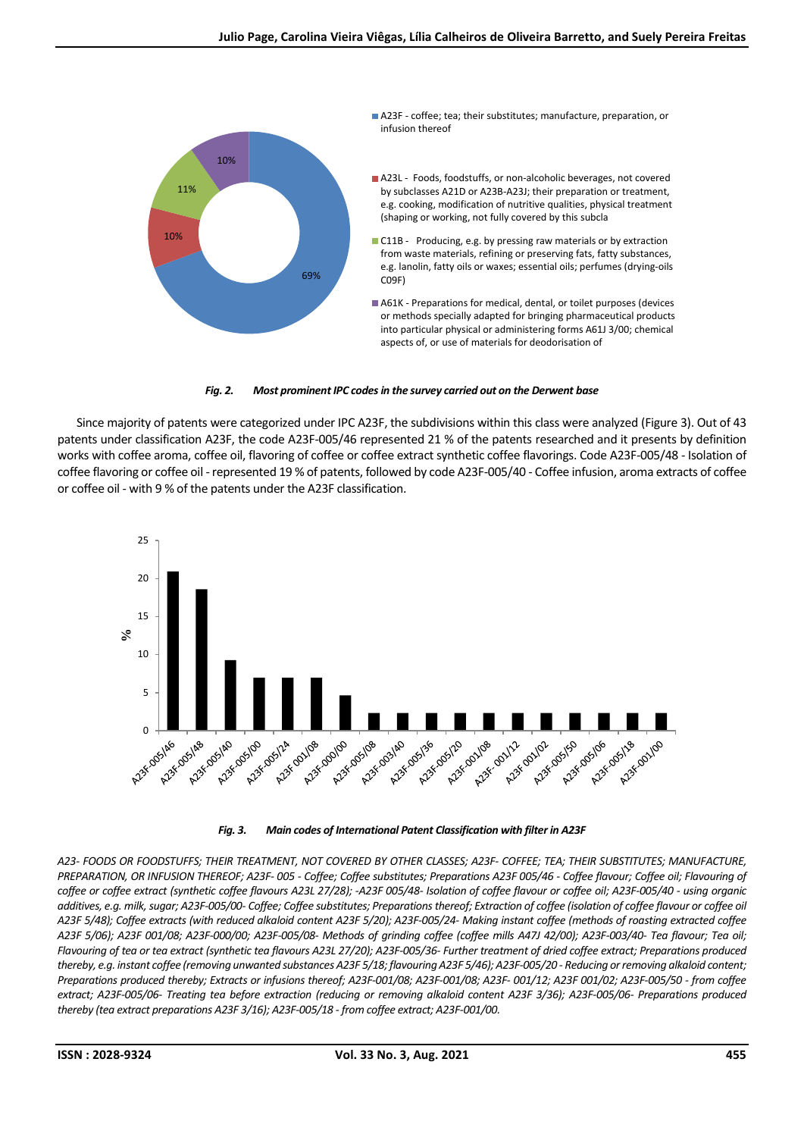

## *Fig. 2. Most prominent IPC codes in the survey carried out on the Derwent base*

Since majority of patents were categorized under IPC A23F, the subdivisions within this class were analyzed (Figure 3). Out of 43 patents under classification A23F, the code A23F-005/46 represented 21 % of the patents researched and it presents by definition works with coffee aroma, coffee oil, flavoring of coffee or coffee extract synthetic coffee flavorings. Code A23F-005/48 - Isolation of coffee flavoring or coffee oil -represented 19 % of patents, followed by code A23F-005/40 - Coffee infusion, aroma extracts of coffee or coffee oil - with 9 % of the patents under the A23F classification.



#### *Fig. 3. Main codes of International Patent Classification with filter in A23F*

*A23- FOODS OR FOODSTUFFS; THEIR TREATMENT, NOT COVERED BY OTHER CLASSES; A23F- COFFEE; TEA; THEIR SUBSTITUTES; MANUFACTURE, PREPARATION, OR INFUSION THEREOF; A23F- 005 - Coffee; Coffee substitutes; Preparations A23F 005/46 - Coffee flavour; Coffee oil; Flavouring of coffee or coffee extract (synthetic coffee flavours A23L 27/28); -A23F 005/48- Isolation of coffee flavour or coffee oil; A23F-005/40 - using organic additives, e.g. milk, sugar; A23F-005/00- Coffee; Coffee substitutes; Preparations thereof; Extraction of coffee (isolation of coffee flavour or coffee oil A23F 5/48); Coffee extracts (with reduced alkaloid content A23F 5/20); A23F-005/24- Making instant coffee (methods of roasting extracted coffee A23F 5/06); A23F 001/08; A23F-000/00; A23F-005/08- Methods of grinding coffee (coffee mills A47J 42/00); A23F-003/40- Tea flavour; Tea oil; Flavouring of tea or tea extract (synthetic tea flavours A23L 27/20); A23F-005/36- Further treatment of dried coffee extract; Preparations produced thereby, e.g. instant coffee (removing unwanted substances A23F 5/18; flavouring A23F 5/46); A23F-005/20 - Reducing or removing alkaloid content; Preparations produced thereby; Extracts or infusions thereof; A23F-001/08; A23F-001/08; A23F- 001/12; A23F 001/02; A23F-005/50 - from coffee extract; A23F-005/06- Treating tea before extraction (reducing or removing alkaloid content A23F 3/36); A23F-005/06- Preparations produced thereby (tea extract preparations A23F 3/16); A23F-005/18 - from coffee extract; A23F-001/00.*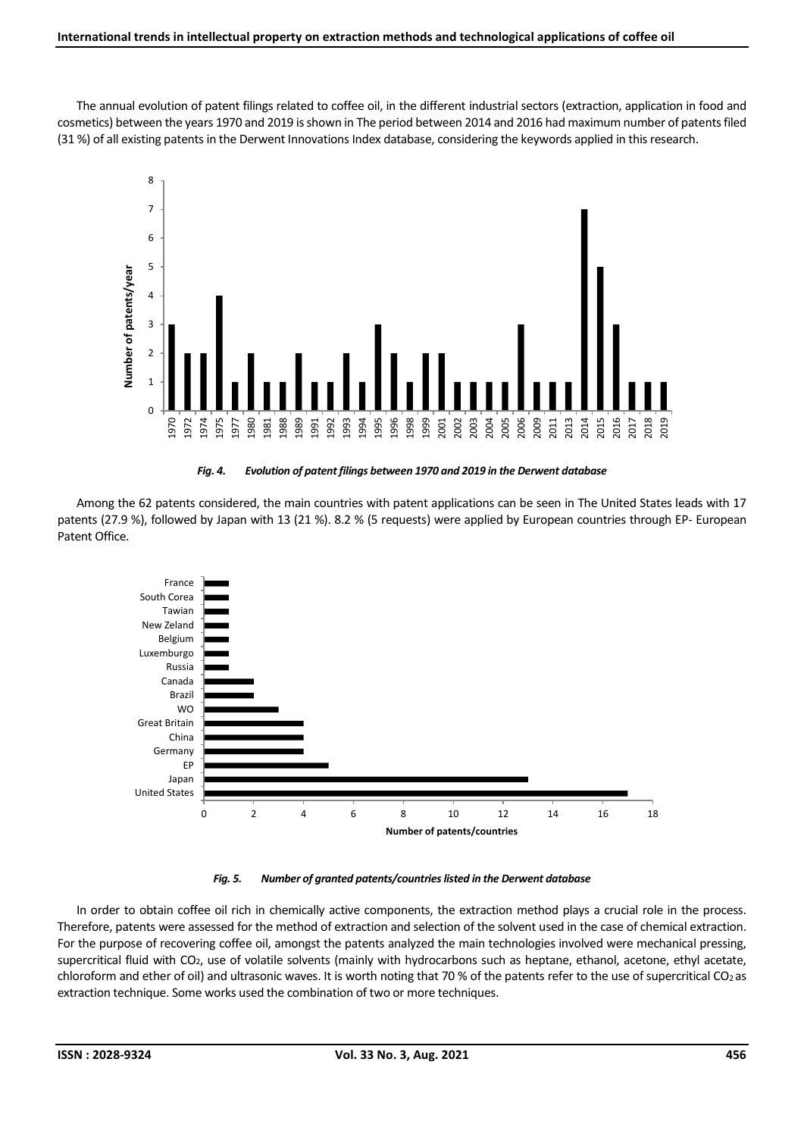The annual evolution of patent filings related to coffee oil, in the different industrial sectors (extraction, application in food and cosmetics) between the years 1970 and 2019 is shown in The period between 2014 and 2016 had maximum number of patents filed (31 %) of all existing patents in the Derwent Innovations Index database, considering the keywords applied in this research.



*Fig. 4. Evolution of patent filings between 1970 and 2019 in the Derwent database*

Among the 62 patents considered, the main countries with patent applications can be seen in The United States leads with 17 patents (27.9 %), followed by Japan with 13 (21 %). 8.2 % (5 requests) were applied by European countries through EP- European Patent Office.



## *Fig. 5. Number of granted patents/countries listed in the Derwent database*

In order to obtain coffee oil rich in chemically active components, the extraction method plays a crucial role in the process. Therefore, patents were assessed for the method of extraction and selection of the solvent used in the case of chemical extraction. For the purpose of recovering coffee oil, amongst the patents analyzed the main technologies involved were mechanical pressing, supercritical fluid with CO2, use of volatile solvents (mainly with hydrocarbons such as heptane, ethanol, acetone, ethyl acetate, chloroform and ether of oil) and ultrasonic waves. It is worth noting that 70 % of the patents refer to the use of supercritical CO2 as extraction technique. Some works used the combination of two or more techniques.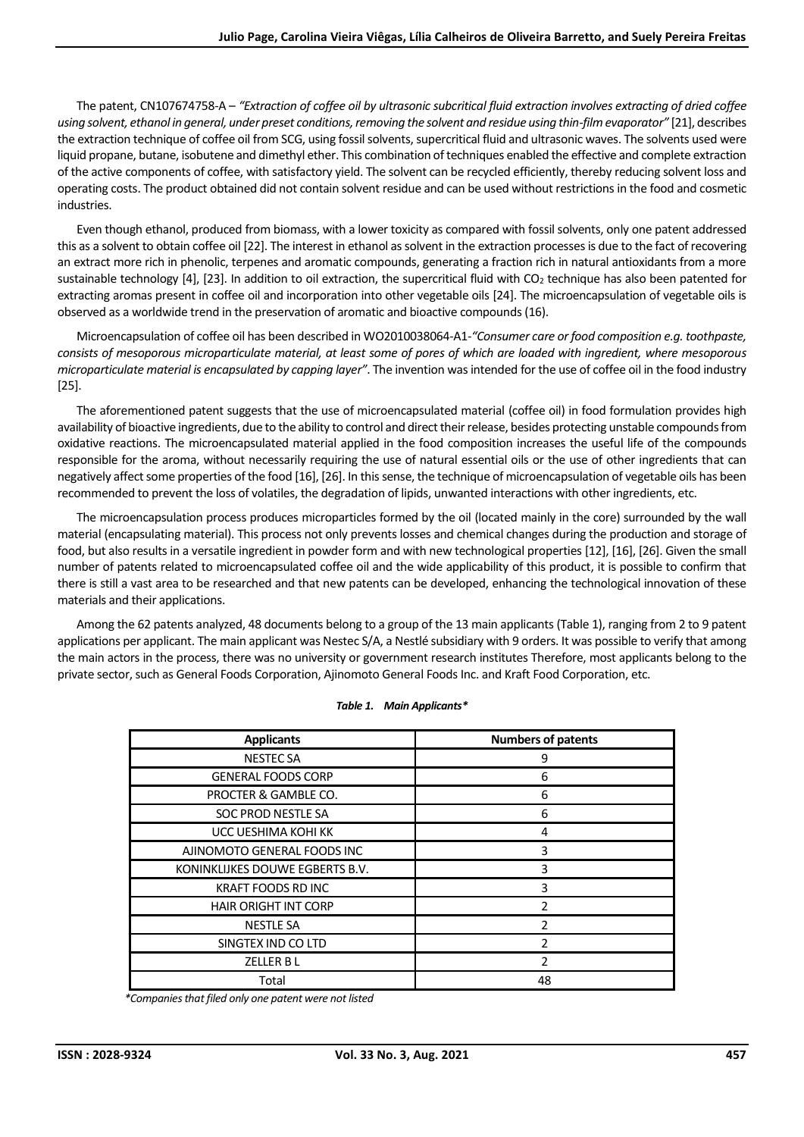The patent, CN107674758-A – *"Extraction of coffee oil by ultrasonic subcritical fluid extraction involves extracting of dried coffee using solvent, ethanol in general, under preset conditions, removing the solvent and residue using thin-film evaporator"* [21], describes the extraction technique of coffee oil from SCG, using fossil solvents, supercritical fluid and ultrasonic waves. The solvents used were liquid propane, butane, isobutene and dimethyl ether. This combination of techniques enabled the effective and complete extraction of the active components of coffee, with satisfactory yield. The solvent can be recycled efficiently, thereby reducing solvent loss and operating costs. The product obtained did not contain solvent residue and can be used without restrictions in the food and cosmetic industries.

Even though ethanol, produced from biomass, with a lower toxicity as compared with fossil solvents, only one patent addressed this as a solvent to obtain coffee oil [22]. The interest in ethanol as solvent in the extraction processes is due to the fact of recovering an extract more rich in phenolic, terpenes and aromatic compounds, generating a fraction rich in natural antioxidants from a more sustainable technology [4], [23]. In addition to oil extraction, the supercritical fluid with CO<sup>2</sup> technique has also been patented for extracting aromas present in coffee oil and incorporation into other vegetable oils [24]. The microencapsulation of vegetable oils is observed as a worldwide trend in the preservation of aromatic and bioactive compounds(16).

Microencapsulation of coffee oil has been described in WO2010038064-A1*-"Consumer care or food composition e.g. toothpaste, consists of mesoporous microparticulate material, at least some of pores of which are loaded with ingredient, where mesoporous microparticulate material is encapsulated by capping layer"*. The invention was intended for the use of coffee oil in the food industry [25].

The aforementioned patent suggests that the use of microencapsulated material (coffee oil) in food formulation provides high availability of bioactive ingredients, due to the ability to control and direct their release, besides protecting unstable compounds from oxidative reactions. The microencapsulated material applied in the food composition increases the useful life of the compounds responsible for the aroma, without necessarily requiring the use of natural essential oils or the use of other ingredients that can negatively affect some properties of the food [16], [26]. In this sense, the technique of microencapsulation of vegetable oils has been recommended to prevent the loss of volatiles, the degradation of lipids, unwanted interactions with other ingredients, etc.

The microencapsulation process produces microparticles formed by the oil (located mainly in the core) surrounded by the wall material (encapsulating material). This process not only prevents losses and chemical changes during the production and storage of food, but also results in a versatile ingredient in powder form and with new technological properties [12], [16], [26]. Given the small number of patents related to microencapsulated coffee oil and the wide applicability of this product, it is possible to confirm that there is still a vast area to be researched and that new patents can be developed, enhancing the technological innovation of these materials and their applications.

Among the 62 patents analyzed, 48 documents belong to a group of the 13 main applicants (Table 1), ranging from 2 to 9 patent applications per applicant. The main applicant was Nestec S/A, a Nestlé subsidiary with 9 orders. It was possible to verify that among the main actors in the process, there was no university or government research institutes Therefore, most applicants belong to the private sector, such as General Foods Corporation, Ajinomoto General Foods Inc. and Kraft Food Corporation, etc.

| <b>Applicants</b>               | <b>Numbers of patents</b> |
|---------------------------------|---------------------------|
| <b>NESTEC SA</b>                | 9                         |
| <b>GENERAL FOODS CORP</b>       | 6                         |
| PROCTER & GAMBLE CO.            | 6                         |
| SOC PROD NESTLE SA              | 6                         |
| UCC UESHIMA KOHI KK             | 4                         |
| AJINOMOTO GENERAL FOODS INC     | 3                         |
| KONINKLIJKES DOUWE EGBERTS B.V. | 3                         |
| <b>KRAFT FOODS RD INC</b>       | 3                         |
| <b>HAIR ORIGHT INT CORP</b>     | $\mathfrak z$             |
| <b>NESTLE SA</b>                | っ                         |
| SINGTEX IND CO LTD              | $\mathfrak z$             |
| ZELLER B L                      | $\mathfrak{p}$            |
| Total                           | 48                        |

# *Table 1. Main Applicants\**

*\*Companies that filed only one patent were not listed*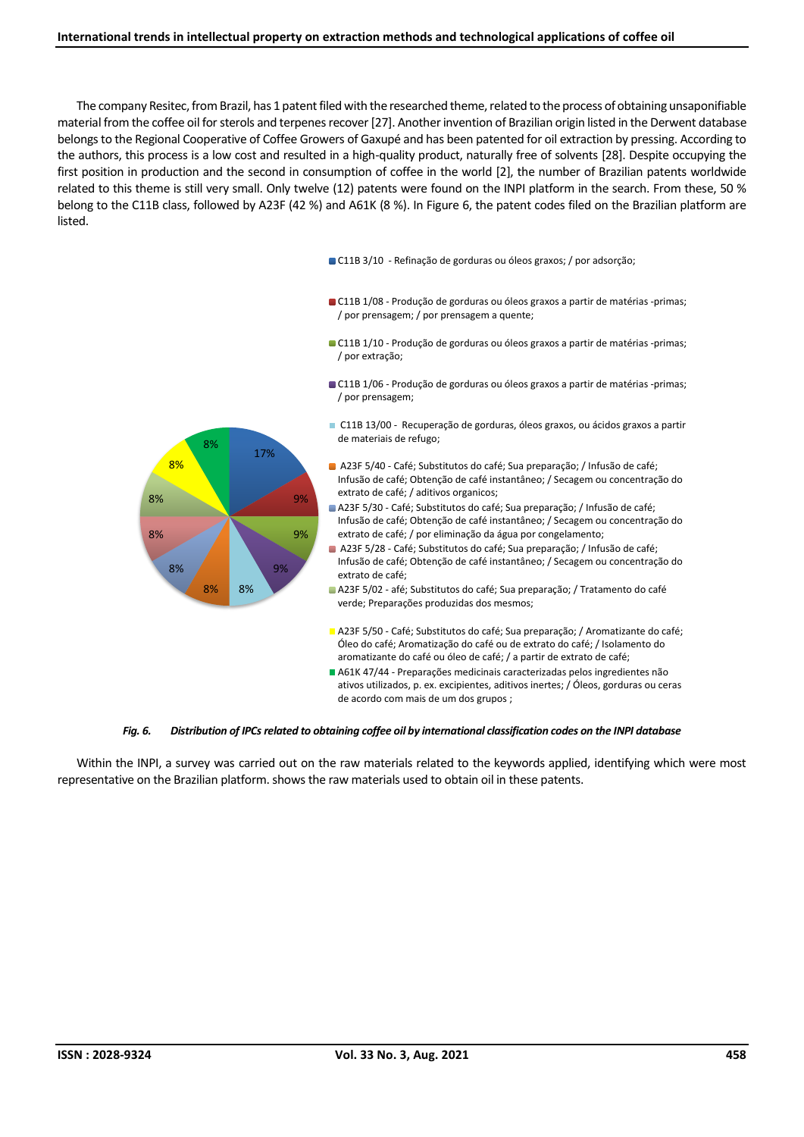The company Resitec, from Brazil, has 1 patent filed with the researched theme, related to the process of obtaining unsaponifiable material from the coffee oil for sterols and terpenes recover [27]. Another invention of Brazilian origin listed in the Derwent database belongs to the Regional Cooperative of Coffee Growers of Gaxupé and has been patented for oil extraction by pressing. According to the authors, this process is a low cost and resulted in a high-quality product, naturally free of solvents [28]. Despite occupying the first position in production and the second in consumption of coffee in the world [2], the number of Brazilian patents worldwide related to this theme is still very small. Only twelve (12) patents were found on the INPI platform in the search. From these, 50 % belong to the C11B class, followed by A23F (42 %) and A61K (8 %). In Figure 6, the patent codes filed on the Brazilian platform are listed.

- C11B 3/10 Refinação de gorduras ou óleos graxos; / por adsorção;
- C11B 1/08 Produção de gorduras ou óleos graxos a partir de matérias -primas; / por prensagem; / por prensagem a quente;
- C11B 1/10 Produção de gorduras ou óleos graxos a partir de matérias -primas; / por extração;
- C11B 1/06 Produção de gorduras ou óleos graxos a partir de matérias -primas; / por prensagem;
- 17% 9% 9% 9% 8% 8% 8% 8% 8% 8% 8% C11B 13/00 - Recuperação de gorduras, óleos graxos, ou ácidos graxos a partir de materiais de refugo; A23F 5/40 - Café; Substitutos do café; Sua preparação; / Infusão de café; Infusão de café; Obtenção de café instantâneo; / Secagem ou concentração do extrato de café; / aditivos organicos; A23F 5/30 - Café; Substitutos do café; Sua preparação; / Infusão de café; Infusão de café; Obtenção de café instantâneo; / Secagem ou concentração do extrato de café; / por eliminação da água por congelamento; A23F 5/28 - Café; Substitutos do café; Sua preparação; / Infusão de café; Infusão de café; Obtenção de café instantâneo; / Secagem ou concentração do extrato de café; A23F 5/02 - afé; Substitutos do café; Sua preparação; / Tratamento do café verde; Preparações produzidas dos mesmos; A23F 5/50 - Café; Substitutos do café; Sua preparação; / Aromatizante do café; Óleo do café; Aromatização do café ou de extrato do café; / Isolamento do aromatizante do café ou óleo de café; / a partir de extrato de café; A61K 47/44 - Preparações medicinais caracterizadas pelos ingredientes não ativos utilizados, p. ex. excipientes, aditivos inertes; / Óleos, gorduras ou ceras de acordo com mais de um dos grupos ;

#### *Fig. 6. Distribution of IPCs related to obtaining coffee oil by international classification codes on the INPI database*

Within the INPI, a survey was carried out on the raw materials related to the keywords applied, identifying which were most representative on the Brazilian platform. shows the raw materials used to obtain oil in these patents.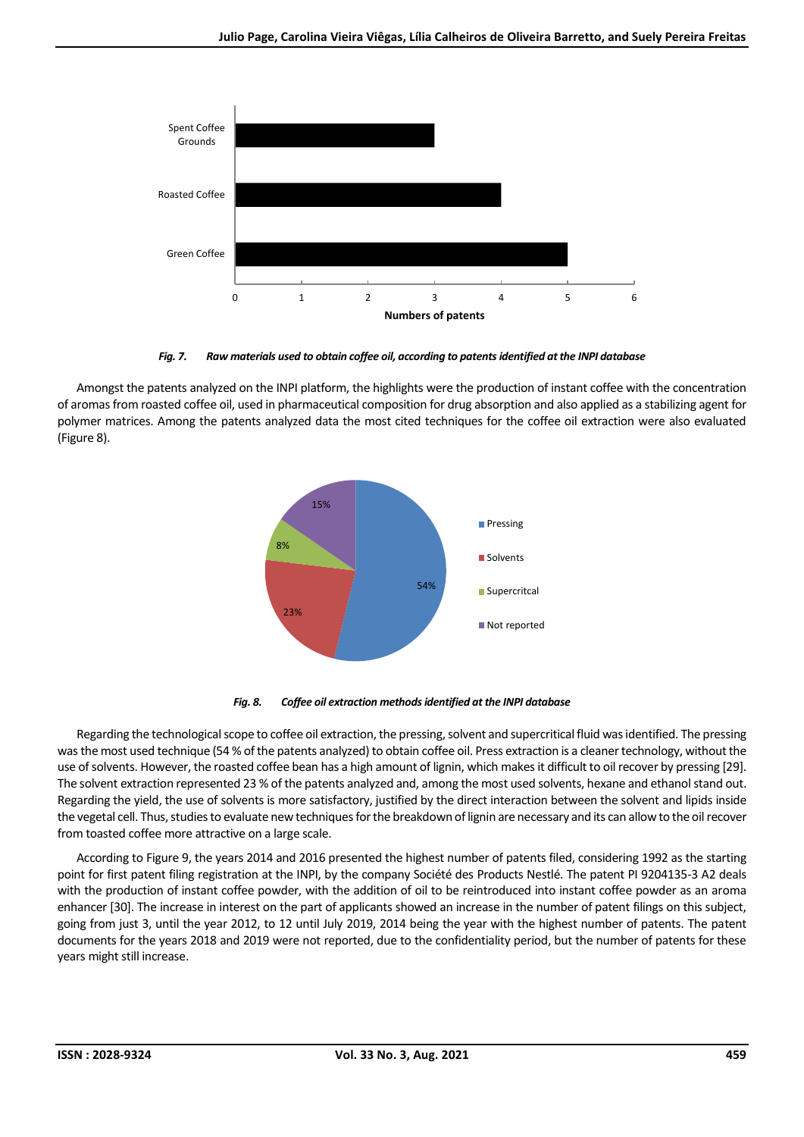

*Fig. 7. Raw materials used to obtain coffee oil, according to patents identified at the INPI database*

Amongst the patents analyzed on the INPI platform, the highlights were the production of instant coffee with the concentration of aromas from roasted coffee oil, used in pharmaceutical composition for drug absorption and also applied as a stabilizing agent for polymer matrices. Among the patents analyzed data the most cited techniques for the coffee oil extraction were also evaluated (Figure 8).





Regarding the technological scope to coffee oil extraction, the pressing, solvent and supercritical fluid was identified. The pressing was the most used technique (54 % of the patents analyzed) to obtain coffee oil. Press extraction is a cleaner technology, without the use of solvents. However, the roasted coffee bean has a high amount of lignin, which makes it difficult to oil recover by pressing [29]. The solvent extraction represented 23 % of the patents analyzed and, among the most used solvents, hexane and ethanol stand out. Regarding the yield, the use of solvents is more satisfactory, justified by the direct interaction between the solvent and lipids inside the vegetal cell. Thus, studies to evaluate new techniques for the breakdown of lignin are necessary and its can allow to the oil recover from toasted coffee more attractive on a large scale.

According to Figure 9, the years 2014 and 2016 presented the highest number of patents filed, considering 1992 as the starting point for first patent filing registration at the INPI, by the company Société des Products Nestlé. The patent PI 9204135-3 A2 deals with the production of instant coffee powder, with the addition of oil to be reintroduced into instant coffee powder as an aroma enhancer [30]. The increase in interest on the part of applicants showed an increase in the number of patent filings on this subject, going from just 3, until the year 2012, to 12 until July 2019, 2014 being the year with the highest number of patents. The patent documents for the years 2018 and 2019 were not reported, due to the confidentiality period, but the number of patents for these years might still increase.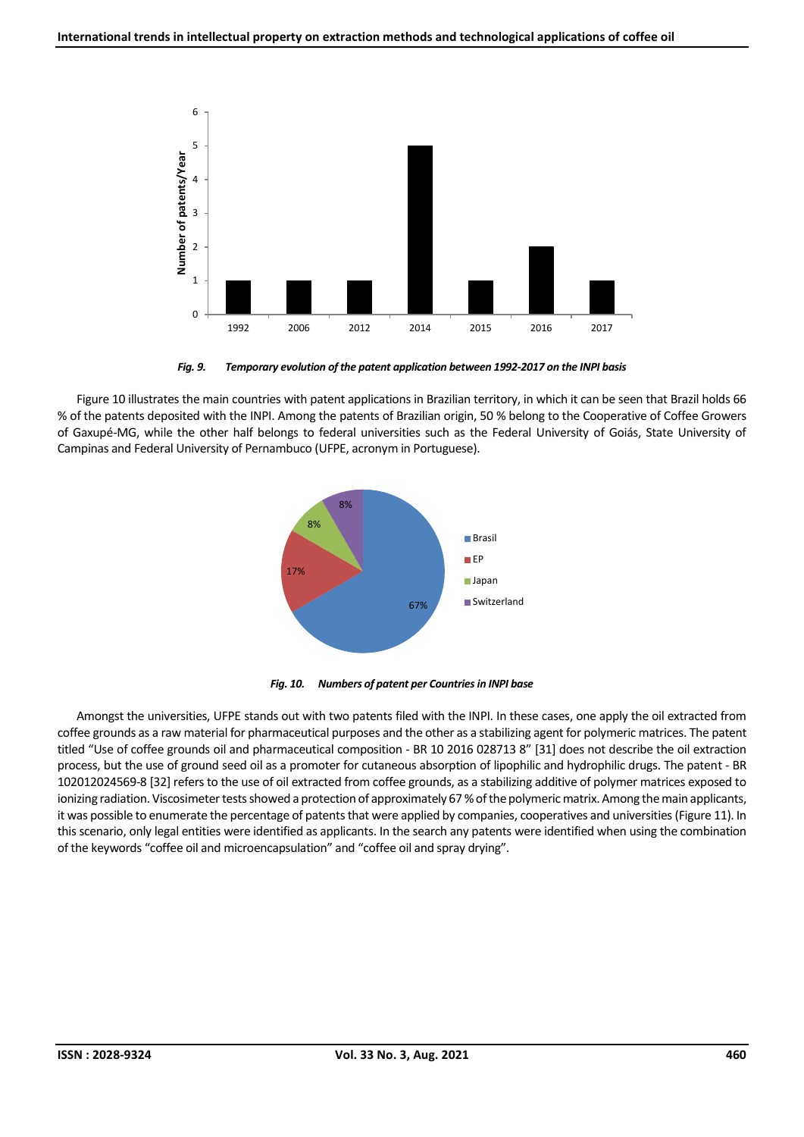

*Fig. 9. Temporary evolution of the patent application between 1992-2017 on the INPI basis*

Figure 10 illustrates the main countries with patent applications in Brazilian territory, in which it can be seen that Brazil holds 66 % of the patents deposited with the INPI. Among the patents of Brazilian origin, 50 % belong to the Cooperative of Coffee Growers of Gaxupé-MG, while the other half belongs to federal universities such as the Federal University of Goiás, State University of Campinas and Federal University of Pernambuco (UFPE, acronym in Portuguese).





Amongst the universities, UFPE stands out with two patents filed with the INPI. In these cases, one apply the oil extracted from coffee grounds as a raw material for pharmaceutical purposes and the other as a stabilizing agent for polymeric matrices. The patent titled "Use of coffee grounds oil and pharmaceutical composition - BR 10 2016 028713 8" [31] does not describe the oil extraction process, but the use of ground seed oil as a promoter for cutaneous absorption of lipophilic and hydrophilic drugs. The patent - BR 102012024569-8 [32] refers to the use of oil extracted from coffee grounds, as a stabilizing additive of polymer matrices exposed to ionizing radiation. Viscosimeter tests showed a protection of approximately 67 % of the polymeric matrix. Among the main applicants, it was possible to enumerate the percentage of patents that were applied by companies, cooperatives and universities(Figure 11). In this scenario, only legal entities were identified as applicants. In the search any patents were identified when using the combination of the keywords "coffee oil and microencapsulation" and "coffee oil and spray drying".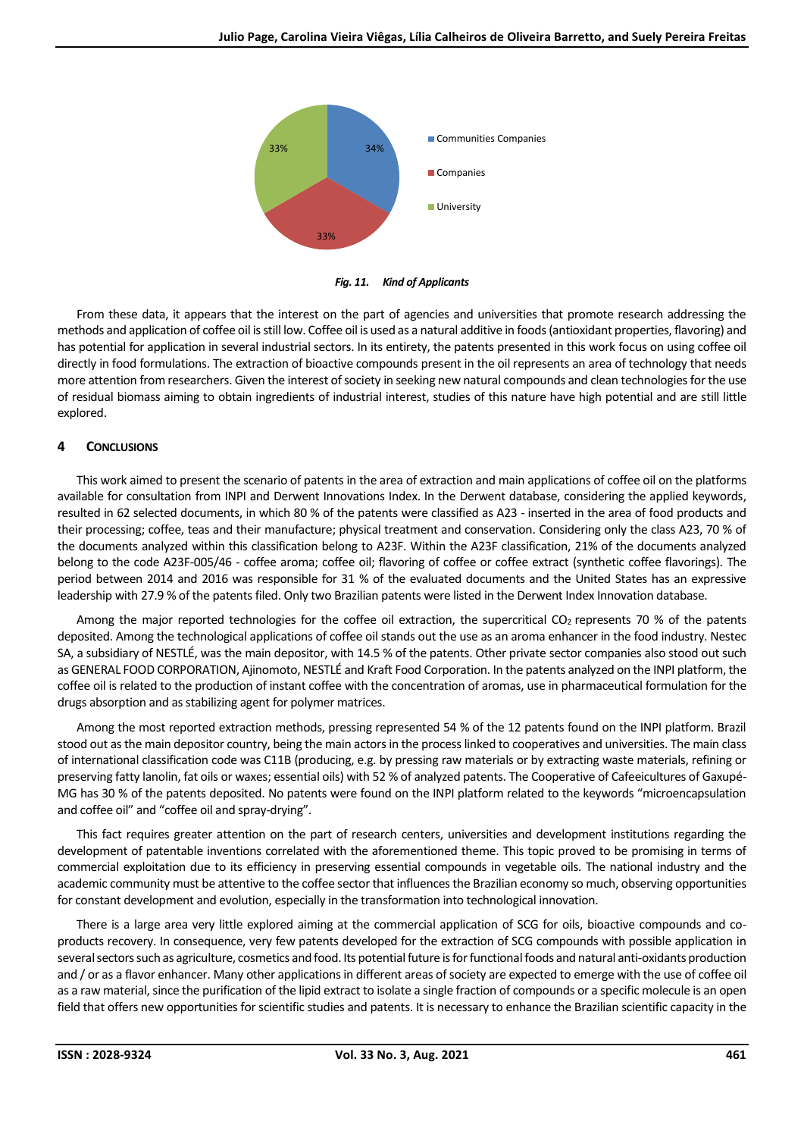

*Fig. 11. Kind of Applicants*

From these data, it appears that the interest on the part of agencies and universities that promote research addressing the methods and application of coffee oil is still low. Coffee oil is used as a natural additive in foods(antioxidant properties, flavoring) and has potential for application in several industrial sectors. In its entirety, the patents presented in this work focus on using coffee oil directly in food formulations. The extraction of bioactive compounds present in the oil represents an area of technology that needs more attention from researchers. Given the interest of society in seeking new natural compounds and clean technologies for the use of residual biomass aiming to obtain ingredients of industrial interest, studies of this nature have high potential and are still little explored.

## **4 CONCLUSIONS**

This work aimed to present the scenario of patents in the area of extraction and main applications of coffee oil on the platforms available for consultation from INPI and Derwent Innovations Index. In the Derwent database, considering the applied keywords, resulted in 62 selected documents, in which 80 % of the patents were classified as A23 - inserted in the area of food products and their processing; coffee, teas and their manufacture; physical treatment and conservation. Considering only the class A23, 70 % of the documents analyzed within this classification belong to A23F. Within the A23F classification, 21% of the documents analyzed belong to the code A23F-005/46 - coffee aroma; coffee oil; flavoring of coffee or coffee extract (synthetic coffee flavorings). The period between 2014 and 2016 was responsible for 31 % of the evaluated documents and the United States has an expressive leadership with 27.9 % of the patents filed. Only two Brazilian patents were listed in the Derwent Index Innovation database.

Among the major reported technologies for the coffee oil extraction, the supercritical CO<sub>2</sub> represents 70 % of the patents deposited. Among the technological applications of coffee oil stands out the use as an aroma enhancer in the food industry. Nestec SA, a subsidiary of NESTLÉ, was the main depositor, with 14.5 % of the patents. Other private sector companies also stood out such as GENERAL FOOD CORPORATION, Ajinomoto, NESTLÉ and Kraft Food Corporation. In the patents analyzed on the INPI platform, the coffee oil is related to the production of instant coffee with the concentration of aromas, use in pharmaceutical formulation for the drugs absorption and as stabilizing agent for polymer matrices.

Among the most reported extraction methods, pressing represented 54 % of the 12 patents found on the INPI platform. Brazil stood out as the main depositor country, being the main actors in the process linked to cooperatives and universities. The main class of international classification code was C11B (producing, e.g. by pressing raw materials or by extracting waste materials, refining or preserving fatty lanolin, fat oils or waxes; essential oils) with 52 % of analyzed patents. The Cooperative of Cafeeicultures of Gaxupé-MG has 30 % of the patents deposited. No patents were found on the INPI platform related to the keywords "microencapsulation and coffee oil" and "coffee oil and spray-drying".

This fact requires greater attention on the part of research centers, universities and development institutions regarding the development of patentable inventions correlated with the aforementioned theme. This topic proved to be promising in terms of commercial exploitation due to its efficiency in preserving essential compounds in vegetable oils. The national industry and the academic community must be attentive to the coffee sector that influences the Brazilian economy so much, observing opportunities for constant development and evolution, especially in the transformation into technological innovation.

There is a large area very little explored aiming at the commercial application of SCG for oils, bioactive compounds and coproducts recovery. In consequence, very few patents developed for the extraction of SCG compounds with possible application in several sectors such as agriculture, cosmetics and food. Its potential future is for functional foods and natural anti-oxidants production and / or as a flavor enhancer. Many other applications in different areas of society are expected to emerge with the use of coffee oil as a raw material, since the purification of the lipid extract to isolate a single fraction of compounds or a specific molecule is an open field that offers new opportunities for scientific studies and patents. It is necessary to enhance the Brazilian scientific capacity in the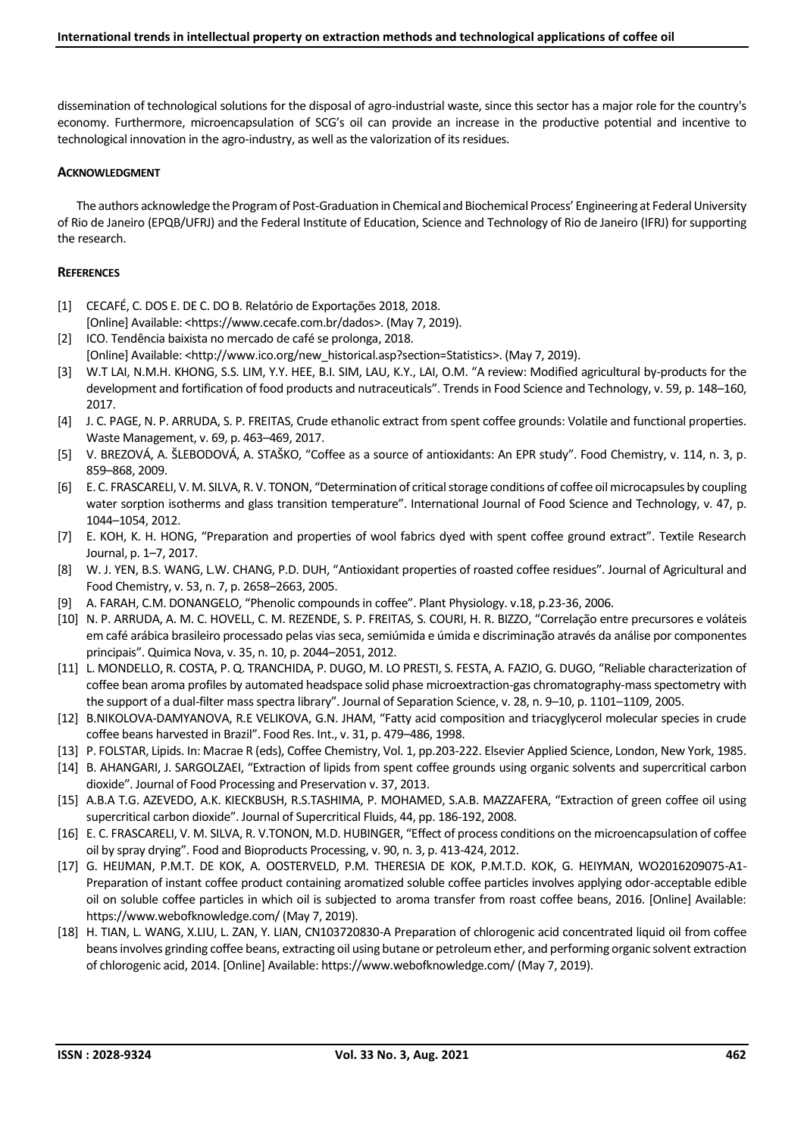dissemination of technological solutions for the disposal of agro-industrial waste, since this sector has a major role for the country's economy. Furthermore, microencapsulation of SCG's oil can provide an increase in the productive potential and incentive to technological innovation in the agro-industry, as well as the valorization of its residues.

## **ACKNOWLEDGMENT**

The authors acknowledge the Program of Post-Graduation in Chemical and Biochemical Process' Engineering at Federal University of Rio de Janeiro (EPQB/UFRJ) and the Federal Institute of Education, Science and Technology of Rio de Janeiro (IFRJ) for supporting the research.

#### **REFERENCES**

- [1] CECAFÉ, C. DOS E. DE C. DO B. Relatório de Exportações 2018, 2018. [Online] Available: <https://www.cecafe.com.br/dados>. (May 7, 2019).
- [2] ICO. Tendência baixista no mercado de café se prolonga, 2018. [Online] Available: <http://www.ico.org/new\_historical.asp?section=Statistics>. (May 7, 2019).
- [3] W.T LAI, N.M.H. KHONG, S.S. LIM, Y.Y. HEE, B.I. SIM, LAU, K.Y., LAI, O.M. "A review: Modified agricultural by-products for the development and fortification of food products and nutraceuticals". Trends in Food Science and Technology, v. 59, p. 148–160, 2017.
- [4] J. C. PAGE, N. P. ARRUDA, S. P. FREITAS, Crude ethanolic extract from spent coffee grounds: Volatile and functional properties. Waste Management, v. 69, p. 463–469, 2017.
- [5] V. BREZOVÁ, A. ŠLEBODOVÁ, A. STAŠKO, "Coffee as a source of antioxidants: An EPR study". Food Chemistry, v. 114, n. 3, p. 859–868, 2009.
- [6] E. C. FRASCARELI, V. M. SILVA, R. V. TONON, "Determination of critical storage conditions of coffee oil microcapsules by coupling water sorption isotherms and glass transition temperature". International Journal of Food Science and Technology, v. 47, p. 1044–1054, 2012.
- [7] E. KOH, K. H. HONG, "Preparation and properties of wool fabrics dyed with spent coffee ground extract". Textile Research Journal, p. 1–7, 2017.
- [8] W. J. YEN, B.S. WANG, L.W. CHANG, P.D. DUH, "Antioxidant properties of roasted coffee residues". Journal of Agricultural and Food Chemistry, v. 53, n. 7, p. 2658–2663, 2005.
- [9] A. FARAH, C.M. DONANGELO, "Phenolic compounds in coffee". Plant Physiology. v.18, p.23-36, 2006.
- [10] N. P. ARRUDA, A. M. C. HOVELL, C. M. REZENDE, S. P. FREITAS, S. COURI, H. R. BIZZO, "Correlação entre precursores e voláteis em café arábica brasileiro processado pelas vias seca, semiúmida e úmida e discriminação através da análise por componentes principais". Quimica Nova, v. 35, n. 10, p. 2044–2051, 2012.
- [11] L. MONDELLO, R. COSTA, P. Q. TRANCHIDA, P. DUGO, M. LO PRESTI, S. FESTA, A. FAZIO, G. DUGO, "Reliable characterization of coffee bean aroma profiles by automated headspace solid phase microextraction-gas chromatography-mass spectometry with the support of a dual-filter mass spectra library". Journal of Separation Science, v. 28, n. 9–10, p. 1101–1109, 2005.
- [12] B.NIKOLOVA-DAMYANOVA, R.E VELIKOVA, G.N. JHAM, "Fatty acid composition and triacyglycerol molecular species in crude coffee beans harvested in Brazil". Food Res. Int., v. 31, p. 479–486, 1998.
- [13] P. FOLSTAR, Lipids. In: Macrae R (eds), Coffee Chemistry, Vol. 1, pp.203-222. Elsevier Applied Science, London, New York, 1985.
- [14] B. AHANGARI, J. SARGOLZAEI, "Extraction of lipids from spent coffee grounds using organic solvents and supercritical carbon dioxide". Journal of Food Processing and Preservation v. 37, 2013.
- [15] A.B.A T.G. AZEVEDO, A.K. KIECKBUSH, R.S.TASHIMA, P. MOHAMED, S.A.B. MAZZAFERA, "Extraction of green coffee oil using supercritical carbon dioxide". Journal of Supercritical Fluids, 44, pp. 186-192, 2008.
- [16] E. C. FRASCARELI, V. M. SILVA, R. V.TONON, M.D. HUBINGER, "Effect of process conditions on the microencapsulation of coffee oil by spray drying". Food and Bioproducts Processing, v. 90, n. 3, p. 413-424, 2012.
- [17] G. HEIJMAN, P.M.T. DE KOK, A. OOSTERVELD, P.M. THERESIA DE KOK, P.M.T.D. KOK, G. HEIYMAN, WO2016209075-A1- Preparation of instant coffee product containing aromatized soluble coffee particles involves applying odor-acceptable edible oil on soluble coffee particles in which oil is subjected to aroma transfer from roast coffee beans, 2016. [Online] Available: https://www.webofknowledge.com/ (May 7, 2019).
- [18] H. TIAN, L. WANG, X.LIU, L. ZAN, Y. LIAN, CN103720830-A Preparation of chlorogenic acid concentrated liquid oil from coffee beans involves grinding coffee beans, extracting oil using butane or petroleum ether, and performing organic solvent extraction of chlorogenic acid, 2014. [Online] Available: https://www.webofknowledge.com/ (May 7, 2019).